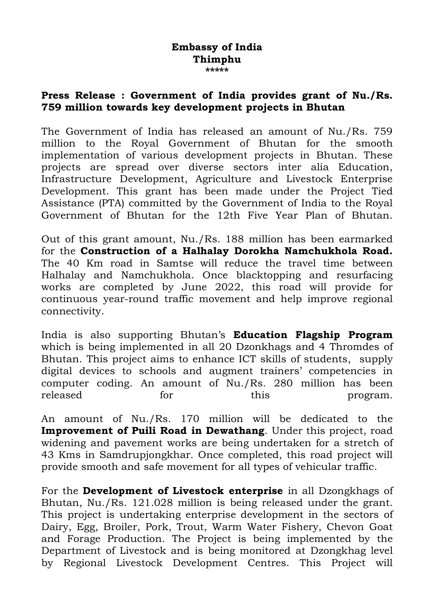## **Embassy of India Thimphu \*\*\*\*\***

## **Press Release : Government of India provides grant of Nu./Rs. 759 million towards key development projects in Bhutan**

The Government of India has released an amount of Nu./Rs. 759 million to the Royal Government of Bhutan for the smooth implementation of various development projects in Bhutan. These projects are spread over diverse sectors inter alia Education, Infrastructure Development, Agriculture and Livestock Enterprise Development. This grant has been made under the Project Tied Assistance (PTA) committed by the Government of India to the Royal Government of Bhutan for the 12th Five Year Plan of Bhutan.

Out of this grant amount, Nu./Rs. 188 million has been earmarked for the **Construction of a Halhalay Dorokha Namchukhola Road.** The 40 Km road in Samtse will reduce the travel time between Halhalay and Namchukhola. Once blacktopping and resurfacing works are completed by June 2022, this road will provide for continuous year-round traffic movement and help improve regional connectivity.

India is also supporting Bhutan's **Education Flagship Program** which is being implemented in all 20 Dzonkhags and 4 Thromdes of Bhutan. This project aims to enhance ICT skills of students, supply digital devices to schools and augment trainers' competencies in computer coding. An amount of Nu./Rs. 280 million has been released for this program.

An amount of Nu./Rs. 170 million will be dedicated to the **Improvement of Puili Road in Dewathang**. Under this project, road widening and pavement works are being undertaken for a stretch of 43 Kms in Samdrupjongkhar. Once completed, this road project will provide smooth and safe movement for all types of vehicular traffic.

For the **Development of Livestock enterprise** in all Dzongkhags of Bhutan, Nu./Rs. 121.028 million is being released under the grant. This project is undertaking enterprise development in the sectors of Dairy, Egg, Broiler, Pork, Trout, Warm Water Fishery, Chevon Goat and Forage Production. The Project is being implemented by the Department of Livestock and is being monitored at Dzongkhag level by Regional Livestock Development Centres. This Project will